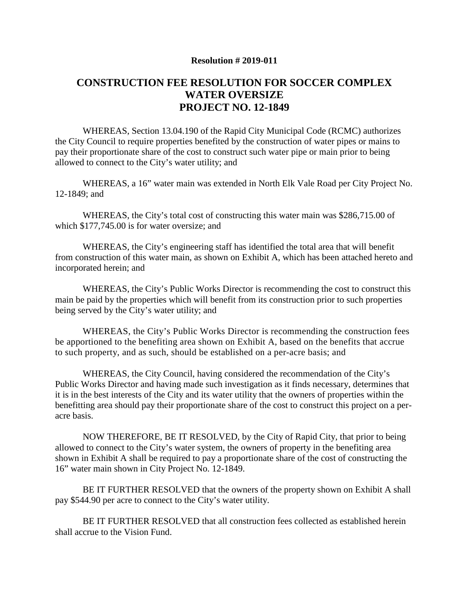## **Resolution # 2019-011**

## **CONSTRUCTION FEE RESOLUTION FOR SOCCER COMPLEX WATER OVERSIZE PROJECT NO. 12-1849**

WHEREAS, Section 13.04.190 of the Rapid City Municipal Code (RCMC) authorizes the City Council to require properties benefited by the construction of water pipes or mains to pay their proportionate share of the cost to construct such water pipe or main prior to being allowed to connect to the City's water utility; and

WHEREAS, a 16" water main was extended in North Elk Vale Road per City Project No. 12-1849; and

WHEREAS, the City's total cost of constructing this water main was \$286,715.00 of which  $$177,745.00$  is for water oversize; and

WHEREAS, the City's engineering staff has identified the total area that will benefit from construction of this water main, as shown on Exhibit A, which has been attached hereto and incorporated herein; and

WHEREAS, the City's Public Works Director is recommending the cost to construct this main be paid by the properties which will benefit from its construction prior to such properties being served by the City's water utility; and

WHEREAS, the City's Public Works Director is recommending the construction fees be apportioned to the benefiting area shown on Exhibit A, based on the benefits that accrue to such property, and as such, should be established on a per-acre basis; and

WHEREAS, the City Council, having considered the recommendation of the City's Public Works Director and having made such investigation as it finds necessary, determines that it is in the best interests of the City and its water utility that the owners of properties within the benefitting area should pay their proportionate share of the cost to construct this project on a peracre basis.

NOW THEREFORE, BE IT RESOLVED, by the City of Rapid City, that prior to being allowed to connect to the City's water system, the owners of property in the benefiting area shown in Exhibit A shall be required to pay a proportionate share of the cost of constructing the 16" water main shown in City Project No. 12-1849.

BE IT FURTHER RESOLVED that the owners of the property shown on Exhibit A shall pay \$544.90 per acre to connect to the City's water utility.

BE IT FURTHER RESOLVED that all construction fees collected as established herein shall accrue to the Vision Fund.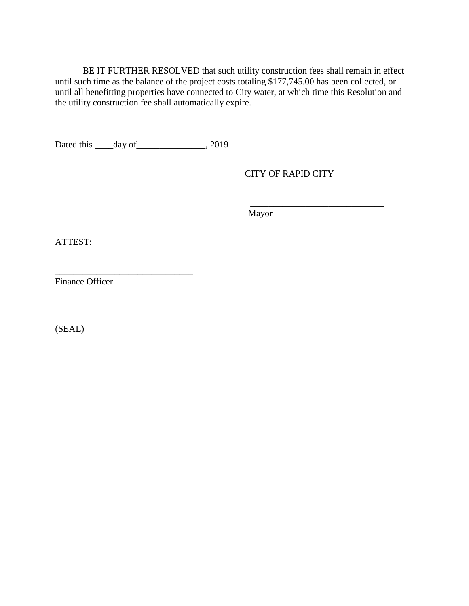BE IT FURTHER RESOLVED that such utility construction fees shall remain in effect until such time as the balance of the project costs totaling \$177,745.00 has been collected, or until all benefitting properties have connected to City water, at which time this Resolution and the utility construction fee shall automatically expire.

Dated this \_\_\_\_day of\_\_\_\_\_\_\_\_\_\_\_\_\_\_, 2019

CITY OF RAPID CITY

\_\_\_\_\_\_\_\_\_\_\_\_\_\_\_\_\_\_\_\_\_\_\_\_\_\_\_\_\_

Mayor

ATTEST:

Finance Officer

\_\_\_\_\_\_\_\_\_\_\_\_\_\_\_\_\_\_\_\_\_\_\_\_\_\_\_\_\_\_

(SEAL)